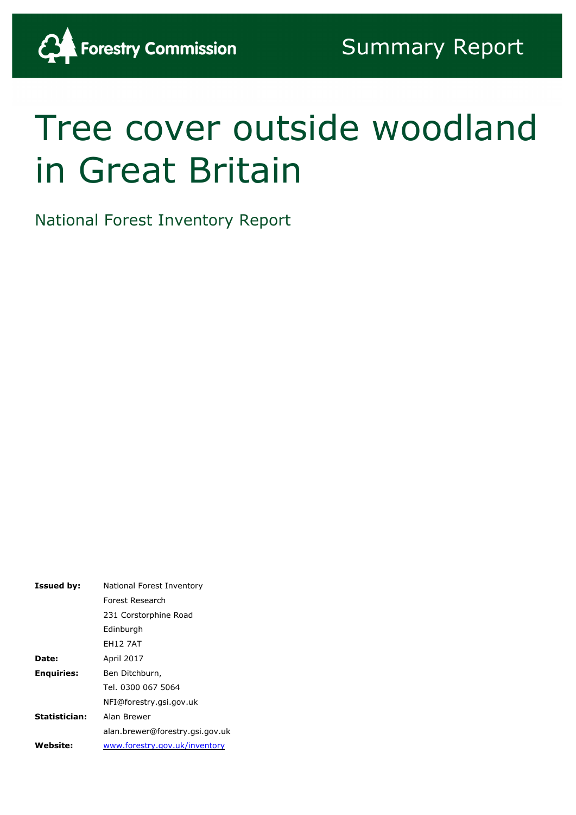# Tree cover outside woodland in Great Britain

National Forest Inventory Report

<span id="page-0-0"></span>

| <b>Issued by:</b> | National Forest Inventory       |
|-------------------|---------------------------------|
|                   | Forest Research                 |
|                   | 231 Corstorphine Road           |
|                   | Edinburgh                       |
|                   | <b>EH12 7AT</b>                 |
| <b>Date:</b>      | <b>April 2017</b>               |
| <b>Enquiries:</b> | Ben Ditchburn,                  |
|                   | Tel. 0300 067 5064              |
|                   | NFI@forestry.gsi.gov.uk         |
| Statistician:     | Alan Brewer                     |
|                   | alan.brewer@forestry.gsi.gov.uk |
| Website:          | www.forestry.gov.uk/inventory   |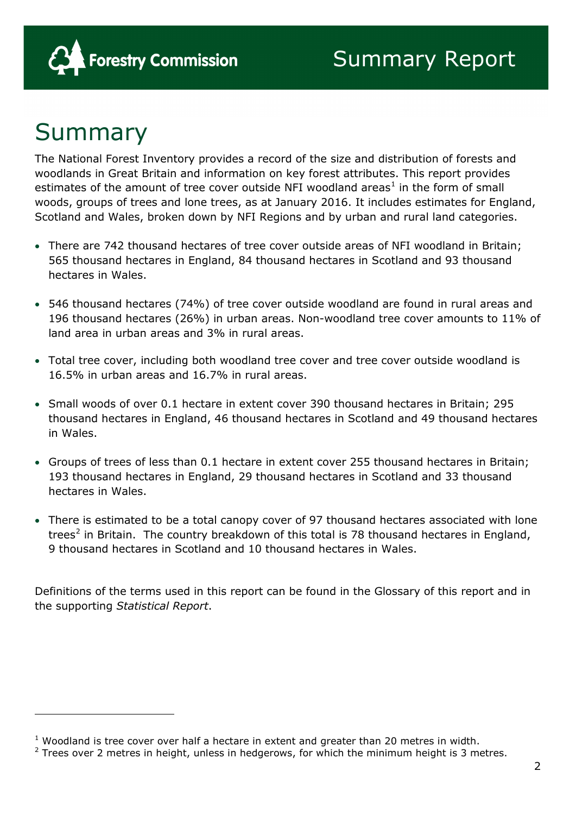

### Summary

j.

The National Forest Inventory provides a record of the size and distribution of forests and woodlands in Great Britain and information on key forest attributes. This report provides estimates of the amount of tree cover outside NFI woodland areas<sup>[1](#page-0-0)</sup> in the form of small woods, groups of trees and lone trees, as at January 2016. It includes estimates for England, Scotland and Wales, broken down by NFI Regions and by urban and rural land categories.

- There are 742 thousand hectares of tree cover outside areas of NFI woodland in Britain; 565 thousand hectares in England, 84 thousand hectares in Scotland and 93 thousand hectares in Wales.
- 546 thousand hectares (74%) of tree cover outside woodland are found in rural areas and 196 thousand hectares (26%) in urban areas. Non-woodland tree cover amounts to 11% of land area in urban areas and 3% in rural areas.
- Total tree cover, including both woodland tree cover and tree cover outside woodland is 16.5% in urban areas and 16.7% in rural areas.
- Small woods of over 0.1 hectare in extent cover 390 thousand hectares in Britain; 295 thousand hectares in England, 46 thousand hectares in Scotland and 49 thousand hectares in Wales.
- Groups of trees of less than 0.1 hectare in extent cover 255 thousand hectares in Britain; 193 thousand hectares in England, 29 thousand hectares in Scotland and 33 thousand hectares in Wales.
- There is estimated to be a total canopy cover of 97 thousand hectares associated with lone trees<sup>[2](#page-1-0)</sup> in Britain. The country breakdown of this total is 78 thousand hectares in England, 9 thousand hectares in Scotland and 10 thousand hectares in Wales.

Definitions of the terms used in this report can be found in the Glossary of this report and in the supporting *Statistical Report*.

 $1$  Woodland is tree cover over half a hectare in extent and greater than 20 metres in width.

<span id="page-1-0"></span> $2$  Trees over 2 metres in height, unless in hedgerows, for which the minimum height is 3 metres.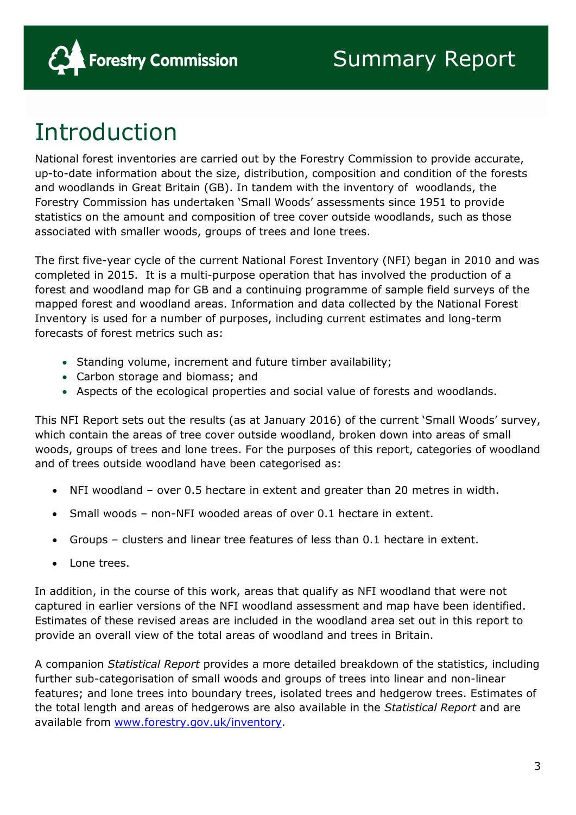

# Introduction

National forest inventories are carried out by the Forestry Commission to provide accurate, up-to-date information about the size, distribution, composition and condition of the forests and woodlands in Great Britain (GB). In tandem with the inventory of woodlands, the Forestry Commission has undertaken 'Small Woods' assessments since 1951 to provide statistics on the amount and composition of tree cover outside woodlands, such as those associated with smaller woods, groups of trees and lone trees.

The first five-year cycle of the current National Forest Inventory (NFI) began in 2010 and was completed in 2015. It is a multi-purpose operation that has involved the production of a forest and woodland map for GB and a continuing programme of sample field surveys of the mapped forest and woodland areas. Information and data collected by the National Forest Inventory is used for a number of purposes, including current estimates and long-term forecasts of forest metrics such as:

- Standing volume, increment and future timber availability;
- Carbon storage and biomass; and
- Aspects of the ecological properties and social value of forests and woodlands.

This NFI Report sets out the results (as at January 2016) of the current 'Small Woods' survey, which contain the areas of tree cover outside woodland, broken down into areas of small woods, groups of trees and lone trees. For the purposes of this report, categories of woodland and of trees outside woodland have been categorised as:

- NFI woodland over 0.5 hectare in extent and greater than 20 metres in width.
- Small woods non-NFI wooded areas of over 0.1 hectare in extent.
- Groups clusters and linear tree features of less than 0.1 hectare in extent.
- Lone trees.

In addition, in the course of this work, areas that qualify as NFI woodland that were not captured in earlier versions of the NFI woodland assessment and map have been identified. Estimates of these revised areas are included in the woodland area set out in this report to provide an overall view of the total areas of woodland and trees in Britain.

A companion *Statistical Report* provides a more detailed breakdown of the statistics, including further sub-categorisation of small woods and groups of trees into linear and non-linear features; and lone trees into boundary trees, isolated trees and hedgerow trees. Estimates of the total length and areas of hedgerows are also available in the *Statistical Report* and are available from [www.forestry.gov.uk/inventory.](http://www.forestry.gov.uk/inventory)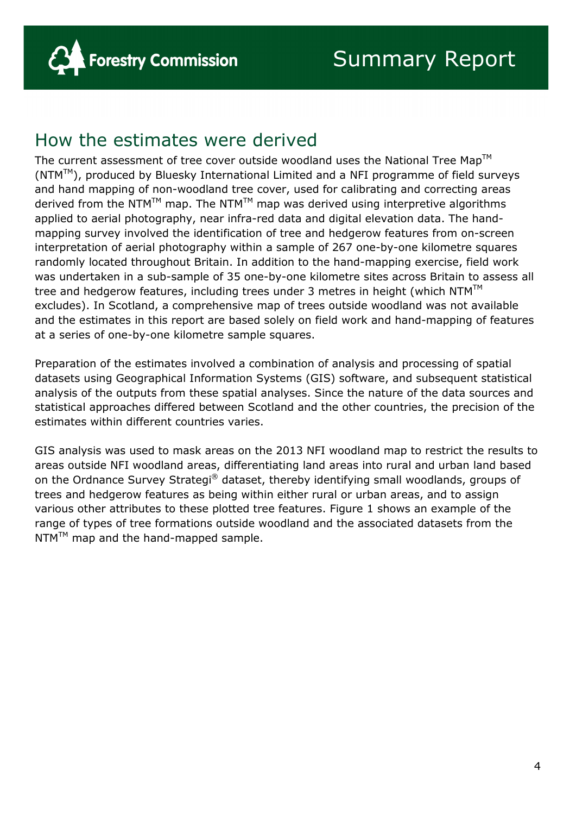### How the estimates were derived

The current assessment of tree cover outside woodland uses the National Tree Map<sup>TM</sup>  $(NTM^M)$ , produced by Bluesky International Limited and a NFI programme of field surveys and hand mapping of non-woodland tree cover, used for calibrating and correcting areas derived from the NTM<sup>TM</sup> map. The NTM<sup>TM</sup> map was derived using interpretive algorithms applied to aerial photography, near infra-red data and digital elevation data. The handmapping survey involved the identification of tree and hedgerow features from on-screen interpretation of aerial photography within a sample of 267 one-by-one kilometre squares randomly located throughout Britain. In addition to the hand-mapping exercise, field work was undertaken in a sub-sample of 35 one-by-one kilometre sites across Britain to assess all tree and hedgerow features, including trees under 3 metres in height (which  $NTM<sup>TM</sup>$ excludes). In Scotland, a comprehensive map of trees outside woodland was not available and the estimates in this report are based solely on field work and hand-mapping of features at a series of one-by-one kilometre sample squares.

Preparation of the estimates involved a combination of analysis and processing of spatial datasets using Geographical Information Systems (GIS) software, and subsequent statistical analysis of the outputs from these spatial analyses. Since the nature of the data sources and statistical approaches differed between Scotland and the other countries, the precision of the estimates within different countries varies.

GIS analysis was used to mask areas on the 2013 NFI woodland map to restrict the results to areas outside NFI woodland areas, differentiating land areas into rural and urban land based on the Ordnance Survey Strategi<sup>®</sup> dataset, thereby identifying small woodlands, groups of trees and hedgerow features as being within either rural or urban areas, and to assign various other attributes to these plotted tree features. Figure 1 shows an example of the range of types of tree formations outside woodland and the associated datasets from the  $NTM<sup>TM</sup>$  map and the hand-mapped sample.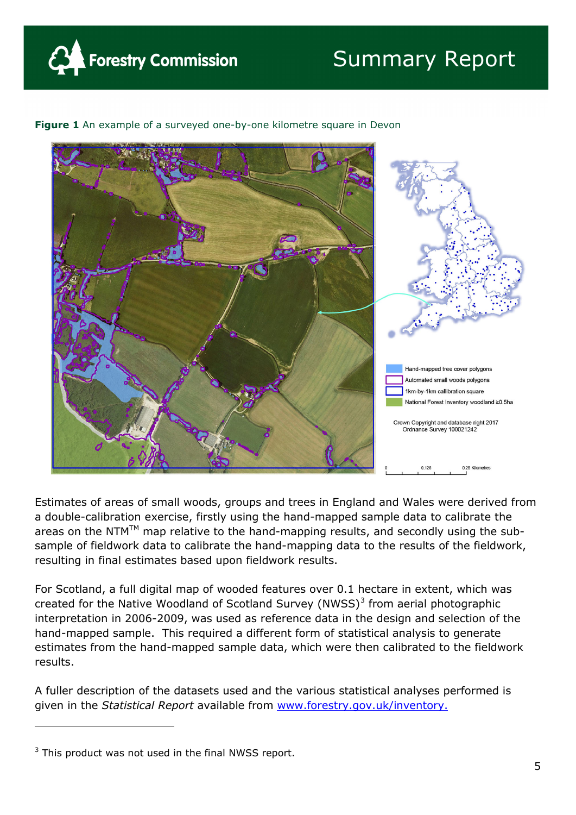

### Summary Report

# land-mapped tree cover polygons Automated small woods polygons 1km-by-1km callibration square National Forest Inventory woodland ≥0.5ha Crown Copyright and database right 2017 Ordnance Survey 100021242 0.25 Kilometres

**Figure 1** An example of a surveyed one-by-one kilometre square in Devon

Estimates of areas of small woods, groups and trees in England and Wales were derived from a double-calibration exercise, firstly using the hand-mapped sample data to calibrate the areas on the NTM<sup>TM</sup> map relative to the hand-mapping results, and secondly using the subsample of fieldwork data to calibrate the hand-mapping data to the results of the fieldwork, resulting in final estimates based upon fieldwork results.

For Scotland, a full digital map of wooded features over 0.1 hectare in extent, which was created for the Native Woodland of Scotland Survey (NWSS) $3$  from aerial photographic interpretation in 2006-2009, was used as reference data in the design and selection of the hand-mapped sample. This required a different form of statistical analysis to generate estimates from the hand-mapped sample data, which were then calibrated to the fieldwork results.

A fuller description of the datasets used and the various statistical analyses performed is given in the *Statistical Report* available from www.forestry.gov.uk/inventory.

-

 $3$  This product was not used in the final NWSS report.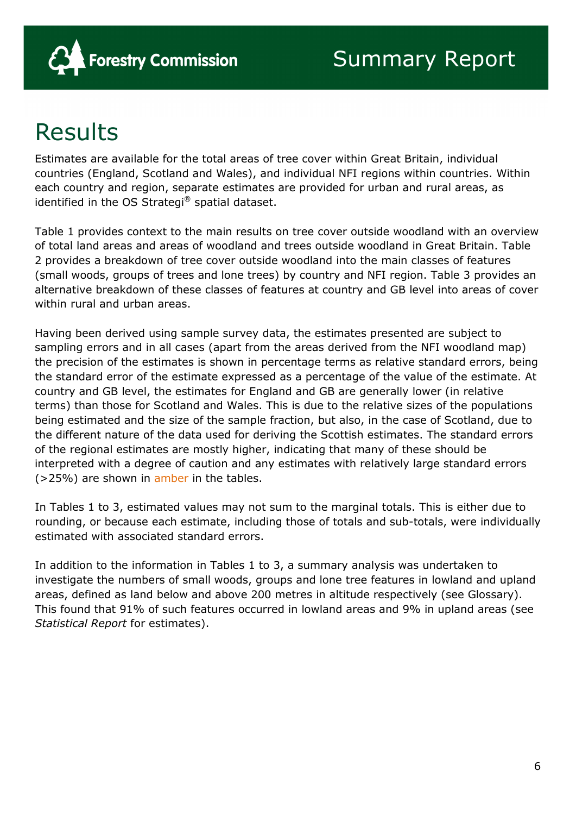

# Results

Estimates are available for the total areas of tree cover within Great Britain, individual countries (England, Scotland and Wales), and individual NFI regions within countries. Within each country and region, separate estimates are provided for urban and rural areas, as identified in the OS Strategi® spatial dataset.

Table 1 provides context to the main results on tree cover outside woodland with an overview of total land areas and areas of woodland and trees outside woodland in Great Britain. Table 2 provides a breakdown of tree cover outside woodland into the main classes of features (small woods, groups of trees and lone trees) by country and NFI region. Table 3 provides an alternative breakdown of these classes of features at country and GB level into areas of cover within rural and urban areas.

Having been derived using sample survey data, the estimates presented are subject to sampling errors and in all cases (apart from the areas derived from the NFI woodland map) the precision of the estimates is shown in percentage terms as relative standard errors, being the standard error of the estimate expressed as a percentage of the value of the estimate. At country and GB level, the estimates for England and GB are generally lower (in relative terms) than those for Scotland and Wales. This is due to the relative sizes of the populations being estimated and the size of the sample fraction, but also, in the case of Scotland, due to the different nature of the data used for deriving the Scottish estimates. The standard errors of the regional estimates are mostly higher, indicating that many of these should be interpreted with a degree of caution and any estimates with relatively large standard errors (>25%) are shown in amber in the tables.

In Tables 1 to 3, estimated values may not sum to the marginal totals. This is either due to rounding, or because each estimate, including those of totals and sub-totals, were individually estimated with associated standard errors.

In addition to the information in Tables 1 to 3, a summary analysis was undertaken to investigate the numbers of small woods, groups and lone tree features in lowland and upland areas, defined as land below and above 200 metres in altitude respectively (see Glossary). This found that 91% of such features occurred in lowland areas and 9% in upland areas (see *Statistical Report* for estimates).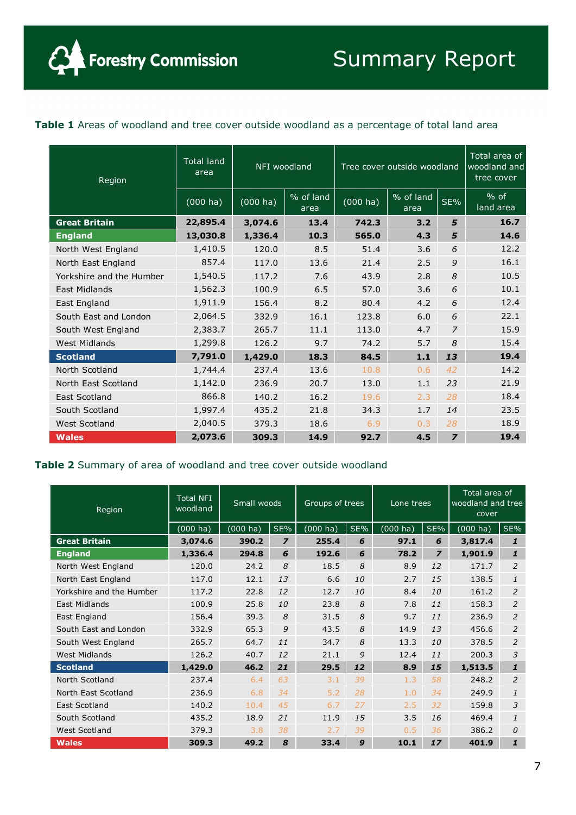$\alpha$ 

#### Table 1 Areas of woodland and tree cover outside woodland as a percentage of total land area

| Region                   | <b>Total land</b><br>area |                    | NFI woodland<br>Tree cover outside woodland |                    |                   |                | Total area of<br>woodland and<br>tree cover |
|--------------------------|---------------------------|--------------------|---------------------------------------------|--------------------|-------------------|----------------|---------------------------------------------|
|                          | $(000)$ ha)               | $(000 \text{ ha})$ | % of land<br>area                           | $(000 \text{ ha})$ | % of land<br>area | SE%            | $%$ of<br>land area                         |
| <b>Great Britain</b>     | 22,895.4                  | 3,074.6            | 13.4                                        | 742.3              | 3.2               | 5              | 16.7                                        |
| <b>England</b>           | 13,030.8                  | 1,336.4            | 10.3                                        | 565.0              | 4.3               | 5              | 14.6                                        |
| North West England       | 1,410.5                   | 120.0              | 8.5                                         | 51.4               | 3.6               | 6              | 12.2                                        |
| North East England       | 857.4                     | 117.0              | 13.6                                        | 21.4               | 2.5               | 9              | 16.1                                        |
| Yorkshire and the Humber | 1,540.5                   | 117.2              | 7.6                                         | 43.9               | 2.8               | 8              | 10.5                                        |
| <b>East Midlands</b>     | 1,562.3                   | 100.9              | 6.5                                         | 57.0               | 3.6               | 6              | 10.1                                        |
| East England             | 1,911.9                   | 156.4              | 8.2                                         | 80.4               | 4.2               | 6              | 12.4                                        |
| South East and London    | 2,064.5                   | 332.9              | 16.1                                        | 123.8              | 6.0               | 6              | 22.1                                        |
| South West England       | 2,383.7                   | 265.7              | 11.1                                        | 113.0              | 4.7               | $\overline{z}$ | 15.9                                        |
| <b>West Midlands</b>     | 1,299.8                   | 126.2              | 9.7                                         | 74.2               | 5.7               | 8              | 15.4                                        |
| <b>Scotland</b>          | 7,791.0                   | 1,429.0            | 18.3                                        | 84.5               | 1.1               | 13             | 19.4                                        |
| North Scotland           | 1,744.4                   | 237.4              | 13.6                                        | 10.8               | 0.6               | 42             | 14.2                                        |
| North East Scotland      | 1,142.0                   | 236.9              | 20.7                                        | 13.0               | 1.1               | 23             | 21.9                                        |
| East Scotland            | 866.8                     | 140.2              | 16.2                                        | 19.6               | 2.3               | 28             | 18.4                                        |
| South Scotland           | 1,997.4                   | 435.2              | 21.8                                        | 34.3               | 1.7               | 14             | 23.5                                        |
| West Scotland            | 2,040.5                   | 379.3              | 18.6                                        | 6.9                | 0.3               | 28             | 18.9                                        |
| <b>Wales</b>             | 2,073.6                   | 309.3              | 14.9                                        | 92.7               | 4.5               | $\overline{z}$ | 19.4                                        |

#### **Table 2** Summary of area of woodland and tree cover outside woodland

| Region                   | <b>Total NFI</b><br>woodland | Small woods        |                | Groups of trees    |     | Lone trees  |                | Total area of<br>woodland and tree<br>cover |                |
|--------------------------|------------------------------|--------------------|----------------|--------------------|-----|-------------|----------------|---------------------------------------------|----------------|
|                          | (000 ha)                     | $(000 \text{ ha})$ | SE%            | $(000 \text{ ha})$ | SE% | $(000)$ ha) | SE%            | $(000)$ ha)                                 | SE%            |
| <b>Great Britain</b>     | 3,074.6                      | 390.2              | $\overline{z}$ | 255.4              | 6   | 97.1        | 6              | 3,817.4                                     | $\mathbf{1}$   |
| <b>England</b>           | 1,336.4                      | 294.8              | 6              | 192.6              | 6   | 78.2        | $\overline{z}$ | 1,901.9                                     | $\mathbf{1}$   |
| North West England       | 120.0                        | 24.2               | 8              | 18.5               | 8   | 8.9         | 12             | 171.7                                       | $\overline{2}$ |
| North East England       | 117.0                        | 12.1               | 13             | 6.6                | 10  | 2.7         | 15             | 138.5                                       | 1              |
| Yorkshire and the Humber | 117.2                        | 22.8               | 12             | 12.7               | 10  | 8.4         | 10             | 161.2                                       | $\overline{2}$ |
| East Midlands            | 100.9                        | 25.8               | 10             | 23.8               | 8   | 7.8         | 11             | 158.3                                       | $\overline{2}$ |
| East England             | 156.4                        | 39.3               | 8              | 31.5               | 8   | 9.7         | 11             | 236.9                                       | 2              |
| South East and London    | 332.9                        | 65.3               | 9              | 43.5               | 8   | 14.9        | 13             | 456.6                                       | $\overline{2}$ |
| South West England       | 265.7                        | 64.7               | 11             | 34.7               | 8   | 13.3        | 10             | 378.5                                       | 2              |
| <b>West Midlands</b>     | 126.2                        | 40.7               | 12             | 21.1               | 9   | 12.4        | 11             | 200.3                                       | 3              |
| <b>Scotland</b>          | 1,429.0                      | 46.2               | 21             | 29.5               | 12  | 8.9         | 15             | 1,513.5                                     | $\mathbf{1}$   |
| North Scotland           | 237.4                        | 6.4                | 63             | 3.1                | 39  | 1.3         | 58             | 248.2                                       | $\overline{2}$ |
| North East Scotland      | 236.9                        | 6.8                | 34             | 5.2                | 28  | 1.0         | 34             | 249.9                                       | 1              |
| East Scotland            | 140.2                        | 10.4               | 45             | 6.7                | 27  | 2.5         | 32             | 159.8                                       | 3              |
| South Scotland           | 435.2                        | 18.9               | 21             | 11.9               | 15  | 3.5         | 16             | 469.4                                       | 1              |
| West Scotland            | 379.3                        | 3.8                | 38             | 2.7                | 39  | 0.5         | 36             | 386.2                                       | 0              |
| <b>Wales</b>             | 309.3                        | 49.2               | 8              | 33.4               | 9   | 10.1        | 17             | 401.9                                       | $\mathbf{1}$   |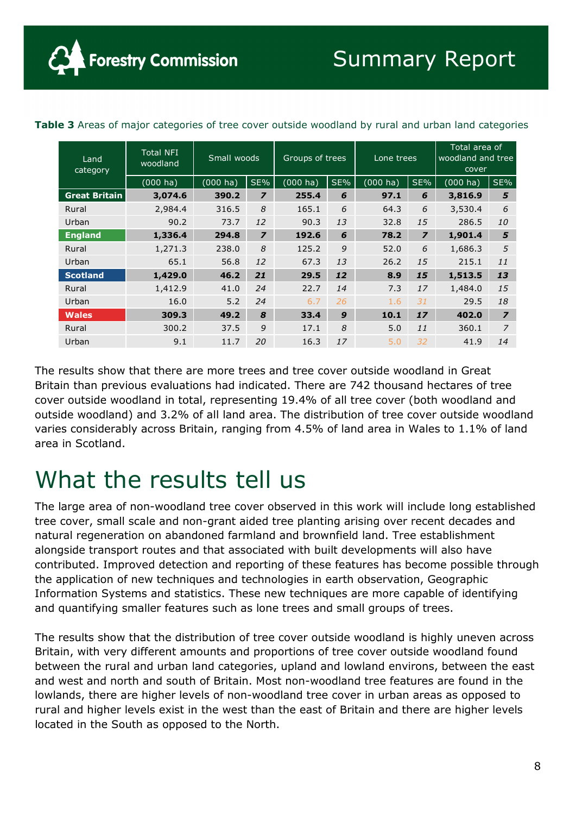| <b>ible 3</b> Areas of major categories of tree cover outside woodland by rural and urban land catego |                              |                    |                |                    |     |                    |                |                                             |     |
|-------------------------------------------------------------------------------------------------------|------------------------------|--------------------|----------------|--------------------|-----|--------------------|----------------|---------------------------------------------|-----|
|                                                                                                       |                              |                    |                |                    |     |                    |                |                                             |     |
| Land<br>category                                                                                      | <b>Total NFI</b><br>woodland | Small woods        |                | Groups of trees    |     | Lone trees         |                | Total area of<br>woodland and tree<br>cover |     |
|                                                                                                       | $(000 \text{ ha})$           | $(000 \text{ ha})$ | SE%            | $(000 \text{ ha})$ | SE% | $(000 \text{ ha})$ | SE%            | $(000$ ha)                                  | SE% |
| <b>Great Britain</b>                                                                                  | 3,074.6                      | 390.2              | $\overline{z}$ | 255.4              | 6   | 97.1               | 6              | 3,816.9                                     | 5   |
| Rural                                                                                                 | 2,984.4                      | 316.5              | 8              | 165.1              | 6   | 64.3               | 6              | 3,530.4                                     | 6   |
| Urban                                                                                                 | 90.2                         | 73.7               | 12             | 90.3               | 13  | 32.8               | 15             | 286.5                                       | 10  |
| <b>England</b>                                                                                        | 1,336.4                      | 294.8              | $\overline{z}$ | 192.6              | 6   | 78.2               | $\overline{z}$ | 1,901.4                                     | 5   |

**Forestry Commission** 

**Table 3** Areas of major categories of tree cover outside woodland by rural and urban land categories

Rural 1,271.3 238.0 *8* 125.2 *9* 52.0 *6* 1,686.3 *5* Urban 65.1 56.8 *12* 67.3 *13* 26.2 *15* 215.1 *11* **Scotland 1,429.0 46.2** *21* **29.5** *12* **8.9** *15* **1,513.5** *13* Rural 1,412.9 41.0 *24* 22.7 *14* 7.3 *17* 1,484.0 *15* Urban 16.0 5.2 *24* 6.7 *26* 1.6 *31* 29.5 *18* **Wales 309.3 49.2** *8* **33.4** *9* **10.1** *17* **402.0** *7* Rural 300.2 37.5 *9* 17.1 *8* 5.0 *11* 360.1 *7* Urban 9.1 11.7 *20* 16.3 *17* 5.0 *32* 41.9 *14*

The results show that there are more trees and tree cover outside woodland in Great Britain than previous evaluations had indicated. There are 742 thousand hectares of tree cover outside woodland in total, representing 19.4% of all tree cover (both woodland and outside woodland) and 3.2% of all land area. The distribution of tree cover outside woodland varies considerably across Britain, ranging from 4.5% of land area in Wales to 1.1% of land area in Scotland.

### What the results tell us

The large area of non-woodland tree cover observed in this work will include long established tree cover, small scale and non-grant aided tree planting arising over recent decades and natural regeneration on abandoned farmland and brownfield land. Tree establishment alongside transport routes and that associated with built developments will also have contributed. Improved detection and reporting of these features has become possible through the application of new techniques and technologies in earth observation, Geographic Information Systems and statistics. These new techniques are more capable of identifying and quantifying smaller features such as lone trees and small groups of trees.

The results show that the distribution of tree cover outside woodland is highly uneven across Britain, with very different amounts and proportions of tree cover outside woodland found between the rural and urban land categories, upland and lowland environs, between the east and west and north and south of Britain. Most non-woodland tree features are found in the lowlands, there are higher levels of non-woodland tree cover in urban areas as opposed to rural and higher levels exist in the west than the east of Britain and there are higher levels located in the South as opposed to the North.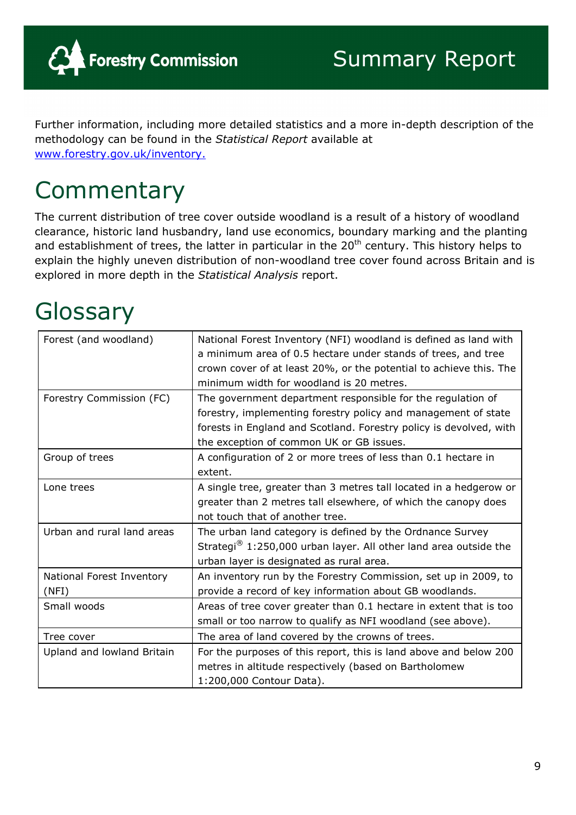

Further information, including more detailed statistics and a more in-depth description of the methodology can be found in the *Statistical Report* available at www.forestry.gov.uk/inventory.

# **Commentary**

The current distribution of tree cover outside woodland is a result of a history of woodland clearance, historic land husbandry, land use economics, boundary marking and the planting and establishment of trees, the latter in particular in the  $20<sup>th</sup>$  century. This history helps to explain the highly uneven distribution of non-woodland tree cover found across Britain and is explored in more depth in the *Statistical Analysis* report.

# **Glossary**

| Forest (and woodland)              | National Forest Inventory (NFI) woodland is defined as land with<br>a minimum area of 0.5 hectare under stands of trees, and tree<br>crown cover of at least 20%, or the potential to achieve this. The<br>minimum width for woodland is 20 metres. |
|------------------------------------|-----------------------------------------------------------------------------------------------------------------------------------------------------------------------------------------------------------------------------------------------------|
| Forestry Commission (FC)           | The government department responsible for the regulation of<br>forestry, implementing forestry policy and management of state<br>forests in England and Scotland. Forestry policy is devolved, with<br>the exception of common UK or GB issues.     |
| Group of trees                     | A configuration of 2 or more trees of less than 0.1 hectare in<br>extent.                                                                                                                                                                           |
| Lone trees                         | A single tree, greater than 3 metres tall located in a hedgerow or<br>greater than 2 metres tall elsewhere, of which the canopy does<br>not touch that of another tree.                                                                             |
| Urban and rural land areas         | The urban land category is defined by the Ordnance Survey<br>Strategi <sup>®</sup> 1:250,000 urban layer. All other land area outside the<br>urban layer is designated as rural area.                                                               |
| National Forest Inventory<br>(NFI) | An inventory run by the Forestry Commission, set up in 2009, to<br>provide a record of key information about GB woodlands.                                                                                                                          |
| Small woods                        | Areas of tree cover greater than 0.1 hectare in extent that is too<br>small or too narrow to qualify as NFI woodland (see above).                                                                                                                   |
| Tree cover                         | The area of land covered by the crowns of trees.                                                                                                                                                                                                    |
| Upland and lowland Britain         | For the purposes of this report, this is land above and below 200<br>metres in altitude respectively (based on Bartholomew<br>1:200,000 Contour Data).                                                                                              |